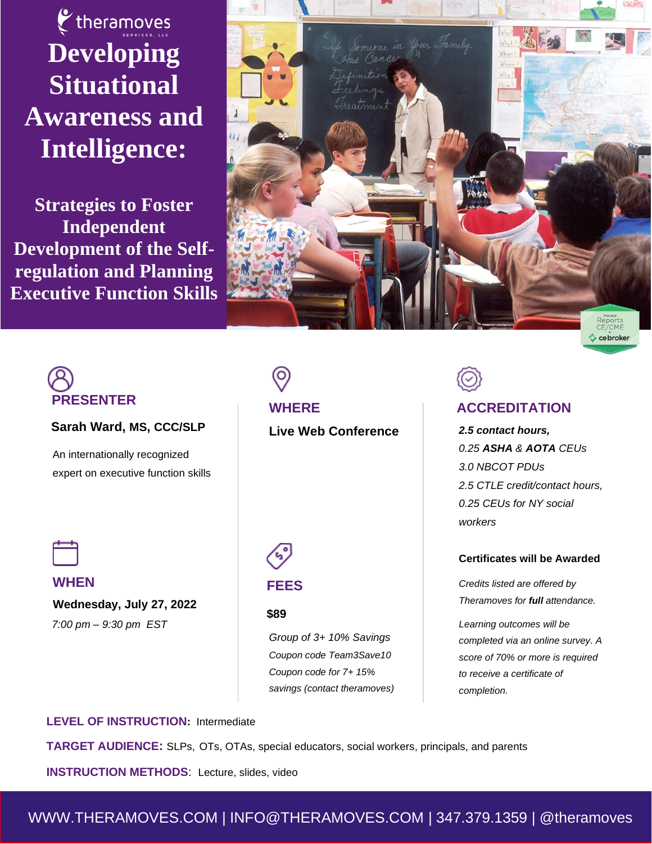$\epsilon$  theramoves **Developing Situational Awareness and Intelligence:** 

**Strategies to Foster Independent Development of the Selfregulation and Planning Executive Function Skills**



# **PRESENTER**

#### **Sarah Ward, MS, CCC/SLP**

An internationally recognized expert on executive function skills **WHERE Live Web Conference** 



**WHEN**

 **Wednesday, July 27, 2022**  *7:00 pm – 9:30 pm EST* 

# **FEES**

#### **\$89**

*Group of 3+ 10% Savings Coupon code Team3Save10 Coupon code for 7+ 15% savings (contact theramoves)*

### **ACCREDITATION**

*2.5 contact hours, 0.25 ASHA & AOTA CEUs 3.0 NBCOT PDUs 2.5 CTLE credit/contact hours, 0.25 CEUs for NY social workers*

 $\leftrightarrow$  ce broker

#### **Certificates will be Awarded**

*Credits listed are offered by Theramoves for full attendance.*

*Learning outcomes will be completed via an online survey. A score of 70% or more is required to receive a certificate of completion.*

**LEVEL OF INSTRUCTION:** Intermediate

**TARGET AUDIENCE:** SLPs, OTs, OTAs, special educators, social workers, principals, and parents

**INSTRUCTION METHODS**: Lecture, slides, video